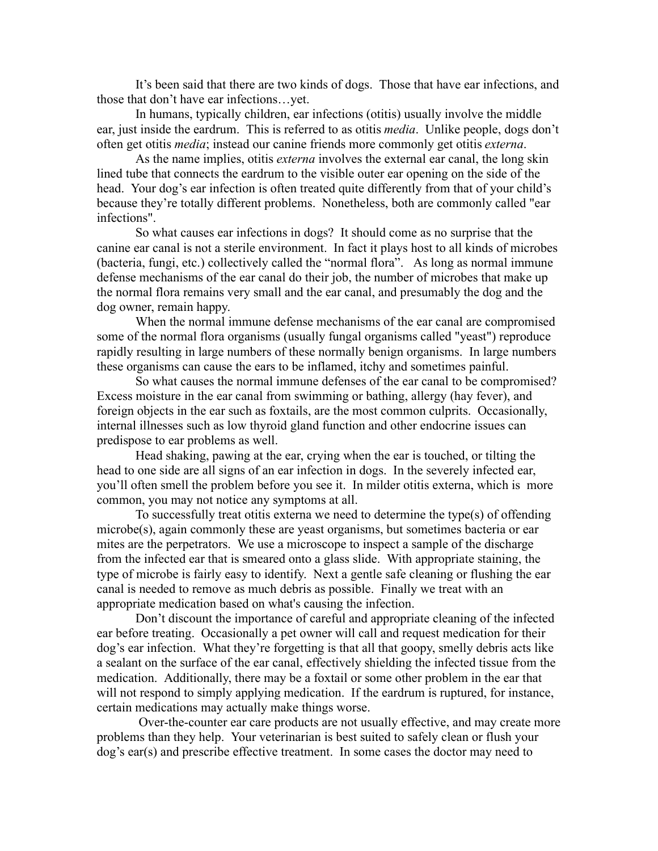It's been said that there are two kinds of dogs. Those that have ear infections, and those that don't have ear infections…yet.

In humans, typically children, ear infections (otitis) usually involve the middle ear, just inside the eardrum. This is referred to as otitis *media*. Unlike people, dogs don't often get otitis *media*; instead our canine friends more commonly get otitis *externa*.

As the name implies, otitis *externa* involves the external ear canal, the long skin lined tube that connects the eardrum to the visible outer ear opening on the side of the head. Your dog's ear infection is often treated quite differently from that of your child's because they're totally different problems. Nonetheless, both are commonly called "ear infections".

So what causes ear infections in dogs? It should come as no surprise that the canine ear canal is not a sterile environment. In fact it plays host to all kinds of microbes (bacteria, fungi, etc.) collectively called the "normal flora". As long as normal immune defense mechanisms of the ear canal do their job, the number of microbes that make up the normal flora remains very small and the ear canal, and presumably the dog and the dog owner, remain happy.

When the normal immune defense mechanisms of the ear canal are compromised some of the normal flora organisms (usually fungal organisms called "yeast") reproduce rapidly resulting in large numbers of these normally benign organisms. In large numbers these organisms can cause the ears to be inflamed, itchy and sometimes painful.

So what causes the normal immune defenses of the ear canal to be compromised? Excess moisture in the ear canal from swimming or bathing, allergy (hay fever), and foreign objects in the ear such as foxtails, are the most common culprits. Occasionally, internal illnesses such as low thyroid gland function and other endocrine issues can predispose to ear problems as well.

Head shaking, pawing at the ear, crying when the ear is touched, or tilting the head to one side are all signs of an ear infection in dogs. In the severely infected ear, you'll often smell the problem before you see it. In milder otitis externa, which is more common, you may not notice any symptoms at all.

To successfully treat otitis externa we need to determine the type(s) of offending microbe(s), again commonly these are yeast organisms, but sometimes bacteria or ear mites are the perpetrators. We use a microscope to inspect a sample of the discharge from the infected ear that is smeared onto a glass slide. With appropriate staining, the type of microbe is fairly easy to identify. Next a gentle safe cleaning or flushing the ear canal is needed to remove as much debris as possible. Finally we treat with an appropriate medication based on what's causing the infection.

Don't discount the importance of careful and appropriate cleaning of the infected ear before treating. Occasionally a pet owner will call and request medication for their dog's ear infection. What they're forgetting is that all that goopy, smelly debris acts like a sealant on the surface of the ear canal, effectively shielding the infected tissue from the medication. Additionally, there may be a foxtail or some other problem in the ear that will not respond to simply applying medication. If the eardrum is ruptured, for instance, certain medications may actually make things worse.

 Over-the-counter ear care products are not usually effective, and may create more problems than they help. Your veterinarian is best suited to safely clean or flush your dog's ear(s) and prescribe effective treatment. In some cases the doctor may need to